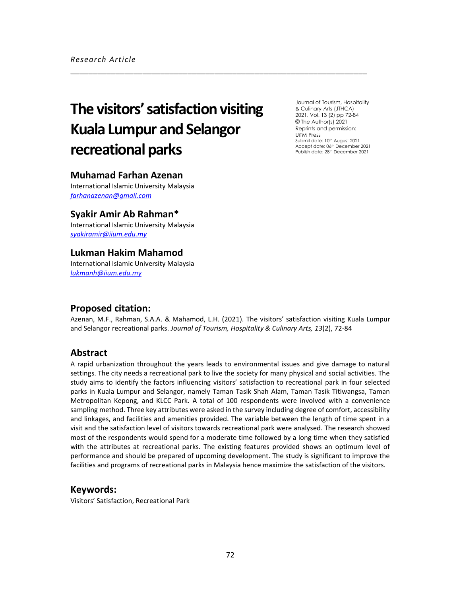# **The visitors' satisfaction visiting Kuala Lumpur and Selangor recreational parks**

Journal of Tourism, Hospitality & Culinary Arts (JTHCA) 2021, Vol. 13 (2) pp 72-84 © The Author(s) 2021 Reprints and permission: UiTM Press Submit date: 10<sup>th</sup> August 2021 Accept date: 06th December 2021 Publish date: 28th December 2021

## **Muhamad Farhan Azenan**

International Islamic University Malaysia *[farhanazenan@gmail.com](mailto:farhanazenan@gmail.com)*

## **Syakir Amir Ab Rahman\***

International Islamic University Malaysia *[syakiramir@iium.edu.my](mailto:syakiramir@iium.edu.my)*

# **Lukman Hakim Mahamod**

International Islamic University Malaysia *[lukmanh@iium.edu.my](mailto:lukmanh@iium.edu.my)*

## **Proposed citation:**

Azenan, M.F., Rahman, S.A.A. & Mahamod, L.H. (2021). The visitors' satisfaction visiting Kuala Lumpur and Selangor recreational parks. *Journal of Tourism, Hospitality & Culinary Arts, 13*(2), 72-84

\_\_\_\_\_\_\_\_\_\_\_\_\_\_\_\_\_\_\_\_\_\_\_\_\_\_\_\_\_\_\_\_\_\_\_\_\_\_\_\_\_\_\_\_\_\_\_\_\_\_\_\_\_\_\_\_\_\_\_\_\_\_\_\_\_\_

# **Abstract**

A rapid urbanization throughout the years leads to environmental issues and give damage to natural settings. The city needs a recreational park to live the society for many physical and social activities. The study aims to identify the factors influencing visitors' satisfaction to recreational park in four selected parks in Kuala Lumpur and Selangor, namely Taman Tasik Shah Alam, Taman Tasik Titiwangsa, Taman Metropolitan Kepong, and KLCC Park. A total of 100 respondents were involved with a convenience sampling method. Three key attributes were asked in the survey including degree of comfort, accessibility and linkages, and facilities and amenities provided. The variable between the length of time spent in a visit and the satisfaction level of visitors towards recreational park were analysed. The research showed most of the respondents would spend for a moderate time followed by a long time when they satisfied with the attributes at recreational parks. The existing features provided shows an optimum level of performance and should be prepared of upcoming development. The study is significant to improve the facilities and programs of recreational parks in Malaysia hence maximize the satisfaction of the visitors.

## **Keywords:**

Visitors' Satisfaction, Recreational Park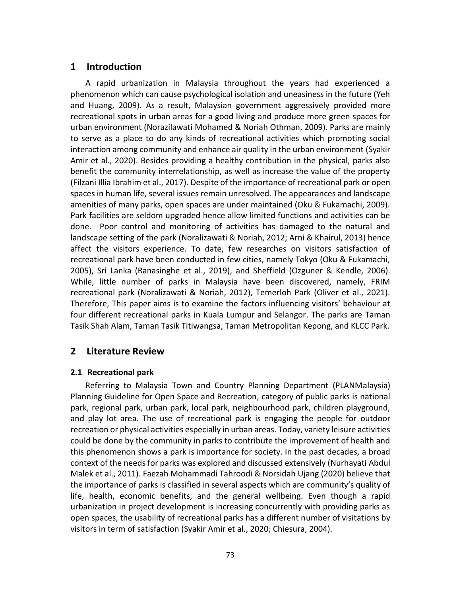# **1 Introduction**

A rapid urbanization in Malaysia throughout the years had experienced a phenomenon which can cause psychological isolation and uneasiness in the future (Yeh and Huang, 2009). As a result, Malaysian government aggressively provided more recreational spots in urban areas for a good living and produce more green spaces for urban environment (Norazilawati Mohamed & Noriah Othman, 2009). Parks are mainly to serve as a place to do any kinds of recreational activities which promoting social interaction among community and enhance air quality in the urban environment (Syakir Amir et al., 2020). Besides providing a healthy contribution in the physical, parks also benefit the community interrelationship, as well as increase the value of the property (Filzani Illia Ibrahim et al., 2017). Despite of the importance of recreational park or open spaces in human life, several issues remain unresolved. The appearances and landscape amenities of many parks, open spaces are under maintained (Oku & Fukamachi, 2009). Park facilities are seldom upgraded hence allow limited functions and activities can be done. Poor control and monitoring of activities has damaged to the natural and landscape setting of the park (Noralizawati & Noriah, 2012; Arni & Khairul, 2013) hence affect the visitors experience. To date, few researches on visitors satisfaction of recreational park have been conducted in few cities, namely Tokyo (Oku & Fukamachi, 2005), Sri Lanka (Ranasinghe et al., 2019), and Sheffield (Ozguner & Kendle, 2006). While, little number of parks in Malaysia have been discovered, namely, FRIM recreational park (Noralizawati & Noriah, 2012), Temerloh Park (Oliver et al., 2021). Therefore, This paper aims is to examine the factors influencing visitors' behaviour at four different recreational parks in Kuala Lumpur and Selangor. The parks are Taman Tasik Shah Alam, Taman Tasik Titiwangsa, Taman Metropolitan Kepong, and KLCC Park.

# **2 Literature Review**

# **2.1 Recreational park**

Referring to Malaysia Town and Country Planning Department (PLANMalaysia) Planning Guideline for Open Space and Recreation, category of public parks is national park, regional park, urban park, local park, neighbourhood park, children playground, and play lot area. The use of recreational park is engaging the people for outdoor recreation or physical activities especially in urban areas. Today, variety leisure activities could be done by the community in parks to contribute the improvement of health and this phenomenon shows a park is importance for society. In the past decades, a broad context of the needs for parks was explored and discussed extensively (Nurhayati Abdul Malek et al., 2011). Faezah Mohammadi Tahroodi & Norsidah Ujang (2020) believe that the importance of parks is classified in several aspects which are community's quality of life, health, economic benefits, and the general wellbeing. Even though a rapid urbanization in project development is increasing concurrently with providing parks as open spaces, the usability of recreational parks has a different number of visitations by visitors in term of satisfaction (Syakir Amir et al., 2020; Chiesura, 2004).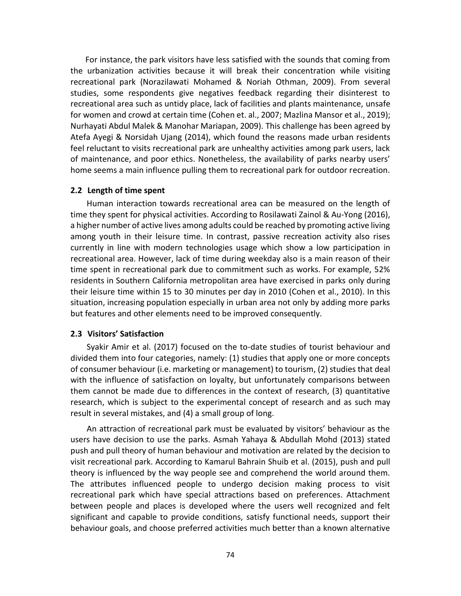For instance, the park visitors have less satisfied with the sounds that coming from the urbanization activities because it will break their concentration while visiting recreational park (Norazilawati Mohamed & Noriah Othman, 2009). From several studies, some respondents give negatives feedback regarding their disinterest to recreational area such as untidy place, lack of facilities and plants maintenance, unsafe for women and crowd at certain time (Cohen et. al., 2007; Mazlina Mansor et al., 2019); Nurhayati Abdul Malek & Manohar Mariapan, 2009). This challenge has been agreed by Atefa Ayegi & Norsidah Ujang (2014), which found the reasons made urban residents feel reluctant to visits recreational park are unhealthy activities among park users, lack of maintenance, and poor ethics. Nonetheless, the availability of parks nearby users' home seems a main influence pulling them to recreational park for outdoor recreation.

#### **2.2 Length of time spent**

Human interaction towards recreational area can be measured on the length of time they spent for physical activities. According to Rosilawati Zainol & Au-Yong (2016), a higher number of active lives among adults could be reached by promoting active living among youth in their leisure time. In contrast, passive recreation activity also rises currently in line with modern technologies usage which show a low participation in recreational area. However, lack of time during weekday also is a main reason of their time spent in recreational park due to commitment such as works. For example, 52% residents in Southern California metropolitan area have exercised in parks only during their leisure time within 15 to 30 minutes per day in 2010 (Cohen et al., 2010). In this situation, increasing population especially in urban area not only by adding more parks but features and other elements need to be improved consequently.

#### **2.3 Visitors' Satisfaction**

Syakir Amir et al. (2017) focused on the to-date studies of tourist behaviour and divided them into four categories, namely: (1) studies that apply one or more concepts of consumer behaviour (i.e. marketing or management) to tourism, (2) studies that deal with the influence of satisfaction on loyalty, but unfortunately comparisons between them cannot be made due to differences in the context of research, (3) quantitative research, which is subject to the experimental concept of research and as such may result in several mistakes, and (4) a small group of long.

An attraction of recreational park must be evaluated by visitors' behaviour as the users have decision to use the parks. Asmah Yahaya & Abdullah Mohd (2013) stated push and pull theory of human behaviour and motivation are related by the decision to visit recreational park. According to Kamarul Bahrain Shuib et al. (2015), push and pull theory is influenced by the way people see and comprehend the world around them. The attributes influenced people to undergo decision making process to visit recreational park which have special attractions based on preferences. Attachment between people and places is developed where the users well recognized and felt significant and capable to provide conditions, satisfy functional needs, support their behaviour goals, and choose preferred activities much better than a known alternative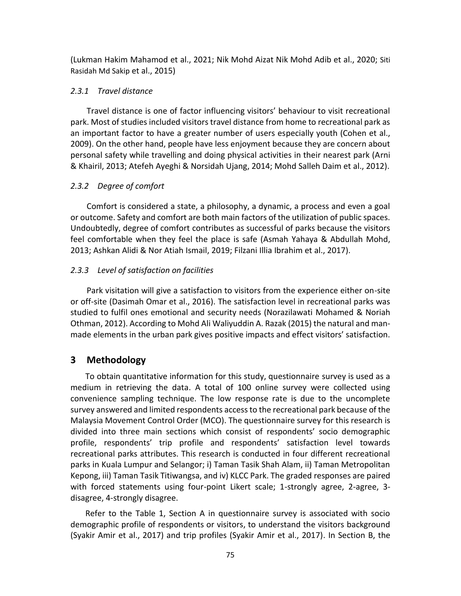(Lukman Hakim Mahamod et al., 2021; Nik Mohd Aizat Nik Mohd Adib et al., 2020; Siti Rasidah Md Sakip et al., 2015)

# *2.3.1 Travel distance*

Travel distance is one of factor influencing visitors' behaviour to visit recreational park. Most of studies included visitors travel distance from home to recreational park as an important factor to have a greater number of users especially youth (Cohen et al., 2009). On the other hand, people have less enjoyment because they are concern about personal safety while travelling and doing physical activities in their nearest park (Arni & Khairil, 2013; Atefeh Ayeghi & Norsidah Ujang, 2014; Mohd Salleh Daim et al., 2012).

# *2.3.2 Degree of comfort*

Comfort is considered a state, a philosophy, a dynamic, a process and even a goal or outcome. Safety and comfort are both main factors of the utilization of public spaces. Undoubtedly, degree of comfort contributes as successful of parks because the visitors feel comfortable when they feel the place is safe (Asmah Yahaya & Abdullah Mohd, 2013; Ashkan Alidi & Nor Atiah Ismail, 2019; Filzani Illia Ibrahim et al., 2017).

# *2.3.3 Level of satisfaction on facilities*

Park visitation will give a satisfaction to visitors from the experience either on-site or off-site (Dasimah Omar et al., 2016). The satisfaction level in recreational parks was studied to fulfil ones emotional and security needs (Norazilawati Mohamed & Noriah Othman, 2012). According to Mohd Ali Waliyuddin A. Razak (2015) the natural and manmade elements in the urban park gives positive impacts and effect visitors' satisfaction.

# **3 Methodology**

To obtain quantitative information for this study, questionnaire survey is used as a medium in retrieving the data. A total of 100 online survey were collected using convenience sampling technique. The low response rate is due to the uncomplete survey answered and limited respondents access to the recreational park because of the Malaysia Movement Control Order (MCO). The questionnaire survey for this research is divided into three main sections which consist of respondents' socio demographic profile, respondents' trip profile and respondents' satisfaction level towards recreational parks attributes. This research is conducted in four different recreational parks in Kuala Lumpur and Selangor; i) Taman Tasik Shah Alam, ii) Taman Metropolitan Kepong, iii) Taman Tasik Titiwangsa, and iv) KLCC Park. The graded responses are paired with forced statements using four-point Likert scale; 1-strongly agree, 2-agree, 3 disagree, 4-strongly disagree.

Refer to the Table 1, Section A in questionnaire survey is associated with socio demographic profile of respondents or visitors, to understand the visitors background (Syakir Amir et al., 2017) and trip profiles (Syakir Amir et al., 2017). In Section B, the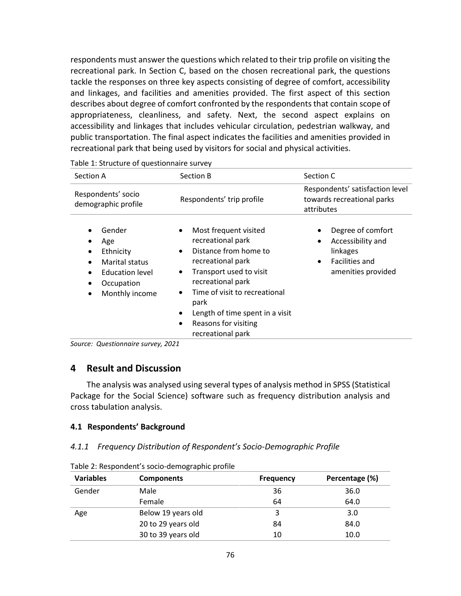respondents must answer the questions which related to their trip profile on visiting the recreational park. In Section C, based on the chosen recreational park, the questions tackle the responses on three key aspects consisting of degree of comfort, accessibility and linkages, and facilities and amenities provided. The first aspect of this section describes about degree of comfort confronted by the respondents that contain scope of appropriateness, cleanliness, and safety. Next, the second aspect explains on accessibility and linkages that includes vehicular circulation, pedestrian walkway, and public transportation. The final aspect indicates the facilities and amenities provided in recreational park that being used by visitors for social and physical activities.

| Section A                                                                                                              | Section B                                                                                                                                                                                                                                                                                                                  | Section C                                                                                                           |
|------------------------------------------------------------------------------------------------------------------------|----------------------------------------------------------------------------------------------------------------------------------------------------------------------------------------------------------------------------------------------------------------------------------------------------------------------------|---------------------------------------------------------------------------------------------------------------------|
| Respondents' socio<br>demographic profile                                                                              | Respondents' trip profile                                                                                                                                                                                                                                                                                                  | Respondents' satisfaction level<br>towards recreational parks<br>attributes                                         |
| Gender<br>Age<br>Ethnicity<br>٠<br>Marital status<br>Education level<br>$\bullet$<br>Occupation<br>٠<br>Monthly income | Most frequent visited<br>$\bullet$<br>recreational park<br>Distance from home to<br>$\bullet$<br>recreational park<br>Transport used to visit<br>$\bullet$<br>recreational park<br>Time of visit to recreational<br>$\bullet$<br>park<br>Length of time spent in a visit<br>Reasons for visiting<br>٠<br>recreational park | Degree of comfort<br>Accessibility and<br>٠<br>linkages<br><b>Facilities and</b><br>$\bullet$<br>amenities provided |

*Source: Questionnaire survey, 2021* 

## **4 Result and Discussion**

The analysis was analysed using several types of analysis method in SPSS (Statistical Package for the Social Science) software such as frequency distribution analysis and cross tabulation analysis.

#### **4.1 Respondents' Background**

#### *4.1.1 Frequency Distribution of Respondent's Socio-Demographic Profile*

| <b>Variables</b> | <b>Components</b>  | <b>Frequency</b> | Percentage (%) |
|------------------|--------------------|------------------|----------------|
| Gender           | Male               | 36               | 36.0           |
|                  | Female             | 64               | 64.0           |
| Age              | Below 19 years old | 3                | 3.0            |
|                  | 20 to 29 years old | 84               | 84.0           |
|                  | 30 to 39 years old | 10               | 10.0           |

Table 2: Respondent's socio-demographic profile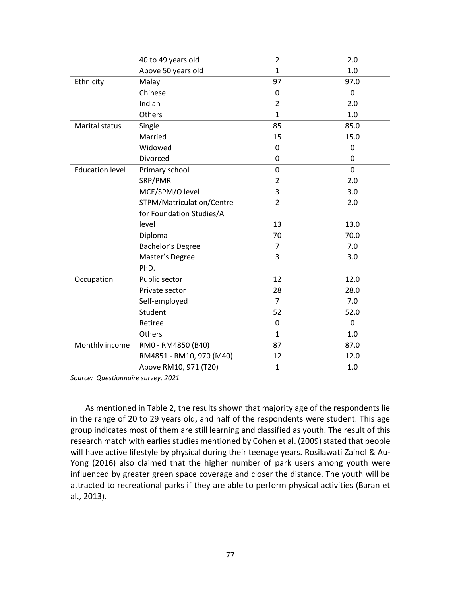|                        | 40 to 49 years old        | $\overline{2}$ | 2.0         |
|------------------------|---------------------------|----------------|-------------|
|                        | Above 50 years old        | $\mathbf{1}$   | 1.0         |
| Ethnicity              | Malay                     | 97             | 97.0        |
|                        | Chinese                   | 0              | 0           |
|                        | Indian                    | $\overline{2}$ | 2.0         |
|                        | Others                    | $\mathbf{1}$   | 1.0         |
| Marital status         | Single                    | 85             | 85.0        |
|                        | Married                   | 15             | 15.0        |
|                        | Widowed                   | 0              | 0           |
|                        | Divorced                  | 0              | 0           |
| <b>Education level</b> | Primary school            | 0              | $\mathbf 0$ |
|                        | SRP/PMR                   | $\overline{2}$ | 2.0         |
|                        | MCE/SPM/O level           | 3              | 3.0         |
|                        | STPM/Matriculation/Centre | $\overline{2}$ | 2.0         |
|                        | for Foundation Studies/A  |                |             |
|                        | level                     | 13             | 13.0        |
|                        | Diploma                   | 70             | 70.0        |
|                        | Bachelor's Degree         | 7              | 7.0         |
|                        | Master's Degree           | 3              | 3.0         |
|                        | PhD.                      |                |             |
| Occupation             | Public sector             | 12             | 12.0        |
|                        | Private sector            | 28             | 28.0        |
|                        | Self-employed             | $\overline{7}$ | 7.0         |
|                        | Student                   | 52             | 52.0        |
|                        | Retiree                   | 0              | 0           |
|                        | Others                    | $\mathbf{1}$   | 1.0         |
| Monthly income         | RM0 - RM4850 (B40)        | 87             | 87.0        |
|                        | RM4851 - RM10, 970 (M40)  | 12             | 12.0        |
|                        | Above RM10, 971 (T20)     | $\mathbf{1}$   | 1.0         |

*Source: Questionnaire survey, 2021* 

As mentioned in Table 2, the results shown that majority age of the respondents lie in the range of 20 to 29 years old, and half of the respondents were student. This age group indicates most of them are still learning and classified as youth. The result of this research match with earlies studies mentioned by Cohen et al. (2009) stated that people will have active lifestyle by physical during their teenage years. Rosilawati Zainol & Au-Yong (2016) also claimed that the higher number of park users among youth were influenced by greater green space coverage and closer the distance. The youth will be attracted to recreational parks if they are able to perform physical activities (Baran et al., 2013).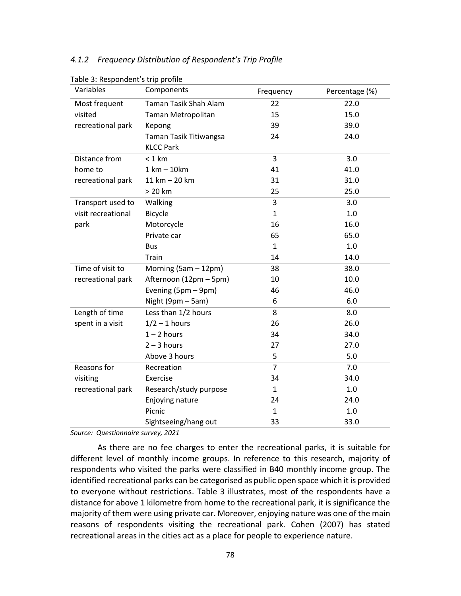#### *4.1.2 Frequency Distribution of Respondent's Trip Profile*

| Variables          | Components                   | Frequency      | Percentage (%) |
|--------------------|------------------------------|----------------|----------------|
| Most frequent      | <b>Taman Tasik Shah Alam</b> | 22             | 22.0           |
| visited            | Taman Metropolitan           | 15             | 15.0           |
| recreational park  | Kepong                       | 39             | 39.0           |
|                    | Taman Tasik Titiwangsa       | 24             | 24.0           |
|                    | <b>KLCC Park</b>             |                |                |
| Distance from      | $< 1$ km                     | 3              | 3.0            |
| home to            | $1 km - 10 km$               | 41             | 41.0           |
| recreational park  | 11 km - 20 km                | 31             | 31.0           |
|                    | $> 20$ km                    | 25             | 25.0           |
| Transport used to  | Walking                      | 3              | 3.0            |
| visit recreational | <b>Bicycle</b>               | $\mathbf{1}$   | 1.0            |
| park               | Motorcycle                   | 16             | 16.0           |
|                    | Private car                  | 65             | 65.0           |
|                    | <b>Bus</b>                   | $\mathbf{1}$   | 1.0            |
|                    | Train                        | 14             | 14.0           |
| Time of visit to   | Morning (5am - 12pm)         | 38             | 38.0           |
| recreational park  | Afternoon (12pm - 5pm)       | 10             | 10.0           |
|                    | Evening (5pm - 9pm)          | 46             | 46.0           |
|                    | Night (9pm - 5am)            | 6              | 6.0            |
| Length of time     | Less than 1/2 hours          | 8              | 8.0            |
| spent in a visit   | $1/2 - 1$ hours              | 26             | 26.0           |
|                    | $1 - 2$ hours                | 34             | 34.0           |
|                    | $2 - 3$ hours                | 27             | 27.0           |
|                    | Above 3 hours                | 5              | 5.0            |
| Reasons for        | Recreation                   | $\overline{7}$ | 7.0            |
| visiting           | Exercise                     | 34             | 34.0           |
| recreational park  | Research/study purpose       | 1              | 1.0            |
|                    | Enjoying nature              | 24             | 24.0           |
|                    | Picnic                       | $\mathbf{1}$   | 1.0            |
|                    | Sightseeing/hang out         | 33             | 33.0           |

Table 3: Respondent's trip profile

*Source: Questionnaire survey, 2021* 

As there are no fee charges to enter the recreational parks, it is suitable for different level of monthly income groups. In reference to this research, majority of respondents who visited the parks were classified in B40 monthly income group. The identified recreational parks can be categorised as public open space which it is provided to everyone without restrictions. Table 3 illustrates, most of the respondents have a distance for above 1 kilometre from home to the recreational park, it is significance the majority of them were using private car. Moreover, enjoying nature was one of the main reasons of respondents visiting the recreational park. Cohen (2007) has stated recreational areas in the cities act as a place for people to experience nature.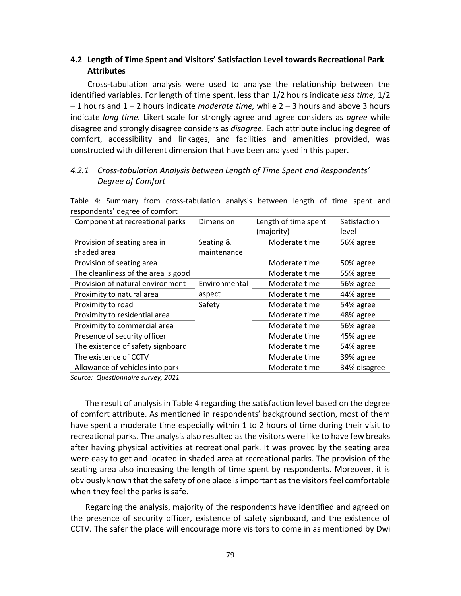# **4.2 Length of Time Spent and Visitors' Satisfaction Level towards Recreational Park Attributes**

Cross-tabulation analysis were used to analyse the relationship between the identified variables. For length of time spent, less than 1/2 hours indicate *less time,* 1/2 – 1 hours and 1 – 2 hours indicate *moderate time,* while 2 – 3 hours and above 3 hours indicate *long time.* Likert scale for strongly agree and agree considers as *agree* while disagree and strongly disagree considers as *disagree*. Each attribute including degree of comfort, accessibility and linkages, and facilities and amenities provided, was constructed with different dimension that have been analysed in this paper.

# *4.2.1 Cross-tabulation Analysis between Length of Time Spent and Respondents' Degree of Comfort*

| respondents degree of comfort               |                          |                                    |                       |
|---------------------------------------------|--------------------------|------------------------------------|-----------------------|
| Component at recreational parks             | Dimension                | Length of time spent<br>(majority) | Satisfaction<br>level |
| Provision of seating area in<br>shaded area | Seating &<br>maintenance | Moderate time                      | 56% agree             |
| Provision of seating area                   |                          | Moderate time                      | 50% agree             |
| The cleanliness of the area is good         |                          | Moderate time                      | 55% agree             |
| Provision of natural environment            | Environmental            | Moderate time                      | 56% agree             |
| Proximity to natural area                   | aspect                   | Moderate time                      | 44% agree             |
| Proximity to road                           | Safety                   | Moderate time                      | 54% agree             |
| Proximity to residential area               |                          | Moderate time                      | 48% agree             |
| Proximity to commercial area                |                          | Moderate time                      | 56% agree             |
| Presence of security officer                |                          | Moderate time                      | 45% agree             |
| The existence of safety signboard           |                          | Moderate time                      | 54% agree             |
| The existence of CCTV                       |                          | Moderate time                      | 39% agree             |
| Allowance of vehicles into park             |                          | Moderate time                      | 34% disagree          |
|                                             |                          |                                    |                       |

Table 4: Summary from cross-tabulation analysis between length of time spent and respondents' degree of comfort

*Source: Questionnaire survey, 2021* 

The result of analysis in Table 4 regarding the satisfaction level based on the degree of comfort attribute. As mentioned in respondents' background section, most of them have spent a moderate time especially within 1 to 2 hours of time during their visit to recreational parks. The analysis also resulted as the visitors were like to have few breaks after having physical activities at recreational park. It was proved by the seating area were easy to get and located in shaded area at recreational parks. The provision of the seating area also increasing the length of time spent by respondents. Moreover, it is obviously known that the safety of one place is important as the visitors feel comfortable when they feel the parks is safe.

Regarding the analysis, majority of the respondents have identified and agreed on the presence of security officer, existence of safety signboard, and the existence of CCTV. The safer the place will encourage more visitors to come in as mentioned by Dwi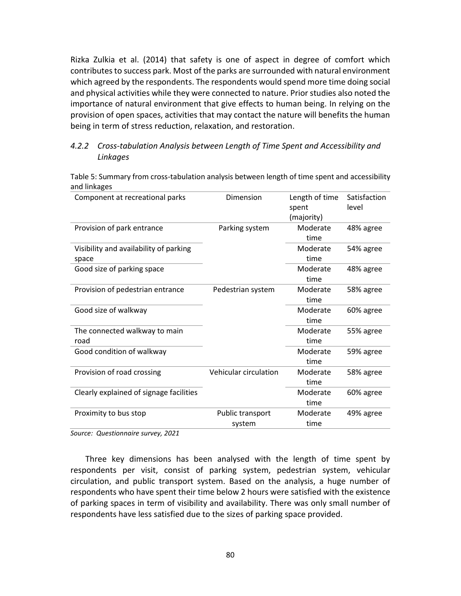Rizka Zulkia et al. (2014) that safety is one of aspect in degree of comfort which contributes to success park. Most of the parks are surrounded with natural environment which agreed by the respondents. The respondents would spend more time doing social and physical activities while they were connected to nature. Prior studies also noted the importance of natural environment that give effects to human being. In relying on the provision of open spaces, activities that may contact the nature will benefits the human being in term of stress reduction, relaxation, and restoration.

# *4.2.2 Cross-tabulation Analysis between Length of Time Spent and Accessibility and Linkages*

Table 5: Summary from cross-tabulation analysis between length of time spent and accessibility and linkages

| Component at recreational parks                 | Dimension                  | Length of time<br>spent<br>(majority) | Satisfaction<br>level |
|-------------------------------------------------|----------------------------|---------------------------------------|-----------------------|
| Provision of park entrance                      | Parking system             | Moderate<br>time                      | 48% agree             |
| Visibility and availability of parking<br>space |                            | Moderate<br>time                      | 54% agree             |
| Good size of parking space                      |                            | Moderate<br>time                      | 48% agree             |
| Provision of pedestrian entrance                | Pedestrian system          | Moderate<br>time                      | 58% agree             |
| Good size of walkway                            |                            | Moderate<br>time                      | 60% agree             |
| The connected walkway to main<br>road           |                            | Moderate<br>time                      | 55% agree             |
| Good condition of walkway                       |                            | Moderate<br>time                      | 59% agree             |
| Provision of road crossing                      | Vehicular circulation      | Moderate<br>time                      | 58% agree             |
| Clearly explained of signage facilities         |                            | Moderate<br>time                      | 60% agree             |
| Proximity to bus stop                           | Public transport<br>system | Moderate<br>time                      | 49% agree             |

*Source: Questionnaire survey, 2021* 

Three key dimensions has been analysed with the length of time spent by respondents per visit, consist of parking system, pedestrian system, vehicular circulation, and public transport system. Based on the analysis, a huge number of respondents who have spent their time below 2 hours were satisfied with the existence of parking spaces in term of visibility and availability. There was only small number of respondents have less satisfied due to the sizes of parking space provided.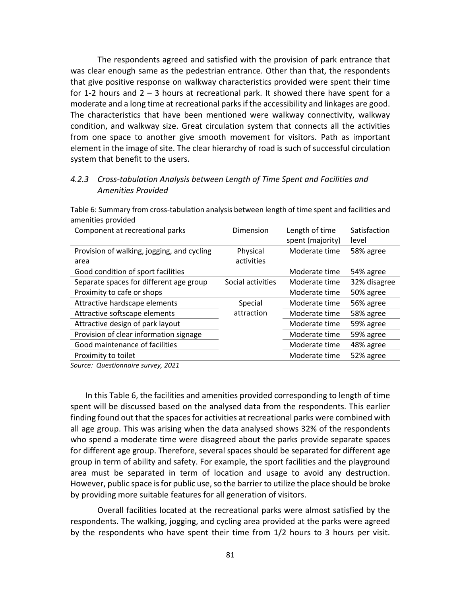The respondents agreed and satisfied with the provision of park entrance that was clear enough same as the pedestrian entrance. Other than that, the respondents that give positive response on walkway characteristics provided were spent their time for 1-2 hours and  $2 - 3$  hours at recreational park. It showed there have spent for a moderate and a long time at recreational parks if the accessibility and linkages are good. The characteristics that have been mentioned were walkway connectivity, walkway condition, and walkway size. Great circulation system that connects all the activities from one space to another give smooth movement for visitors. Path as important element in the image of site. The clear hierarchy of road is such of successful circulation system that benefit to the users.

## *4.2.3 Cross-tabulation Analysis between Length of Time Spent and Facilities and Amenities Provided*

Table 6: Summary from cross-tabulation analysis between length of time spent and facilities and amenities provided

| Component at recreational parks                    | Dimension              | Length of time<br>spent (majority) | Satisfaction<br>level |
|----------------------------------------------------|------------------------|------------------------------------|-----------------------|
| Provision of walking, jogging, and cycling<br>area | Physical<br>activities | Moderate time                      | 58% agree             |
| Good condition of sport facilities                 |                        | Moderate time                      | 54% agree             |
| Separate spaces for different age group            | Social activities      | Moderate time                      | 32% disagree          |
| Proximity to cafe or shops                         |                        | Moderate time                      | 50% agree             |
| Attractive hardscape elements                      | Special                | Moderate time                      | 56% agree             |
| Attractive softscape elements                      | attraction             | Moderate time                      | 58% agree             |
| Attractive design of park layout                   |                        | Moderate time                      | 59% agree             |
| Provision of clear information signage             |                        | Moderate time                      | 59% agree             |
| Good maintenance of facilities                     |                        | Moderate time                      | 48% agree             |
| Proximity to toilet                                |                        | Moderate time                      | 52% agree             |
|                                                    |                        |                                    |                       |

*Source: Questionnaire survey, 2021* 

In this Table 6, the facilities and amenities provided corresponding to length of time spent will be discussed based on the analysed data from the respondents. This earlier finding found out that the spaces for activities at recreational parks were combined with all age group. This was arising when the data analysed shows 32% of the respondents who spend a moderate time were disagreed about the parks provide separate spaces for different age group. Therefore, several spaces should be separated for different age group in term of ability and safety. For example, the sport facilities and the playground area must be separated in term of location and usage to avoid any destruction. However, public space is for public use, so the barrier to utilize the place should be broke by providing more suitable features for all generation of visitors.

Overall facilities located at the recreational parks were almost satisfied by the respondents. The walking, jogging, and cycling area provided at the parks were agreed by the respondents who have spent their time from 1/2 hours to 3 hours per visit.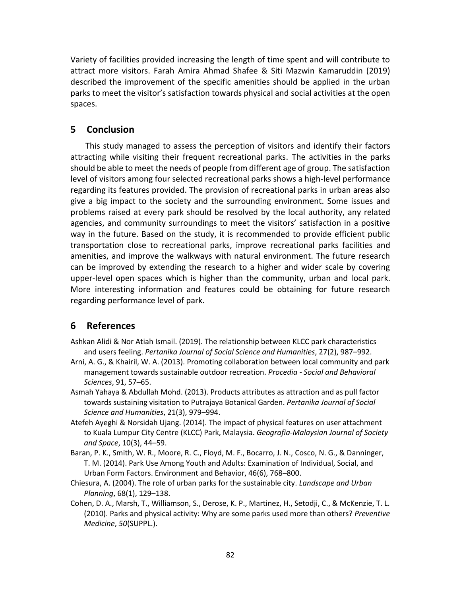Variety of facilities provided increasing the length of time spent and will contribute to attract more visitors. Farah Amira Ahmad Shafee & Siti Mazwin Kamaruddin (2019) described the improvement of the specific amenities should be applied in the urban parks to meet the visitor's satisfaction towards physical and social activities at the open spaces.

# **5 Conclusion**

This study managed to assess the perception of visitors and identify their factors attracting while visiting their frequent recreational parks. The activities in the parks should be able to meet the needs of people from different age of group. The satisfaction level of visitors among four selected recreational parks shows a high-level performance regarding its features provided. The provision of recreational parks in urban areas also give a big impact to the society and the surrounding environment. Some issues and problems raised at every park should be resolved by the local authority, any related agencies, and community surroundings to meet the visitors' satisfaction in a positive way in the future. Based on the study, it is recommended to provide efficient public transportation close to recreational parks, improve recreational parks facilities and amenities, and improve the walkways with natural environment. The future research can be improved by extending the research to a higher and wider scale by covering upper-level open spaces which is higher than the community, urban and local park. More interesting information and features could be obtaining for future research regarding performance level of park.

# **6 References**

- Ashkan Alidi & Nor Atiah Ismail. (2019). The relationship between KLCC park characteristics and users feeling. *Pertanika Journal of Social Science and Humanities*, 27(2), 987–992.
- Arni, A. G., & Khairil, W. A. (2013). Promoting collaboration between local community and park management towards sustainable outdoor recreation. *Procedia - Social and Behavioral Sciences*, 91, 57–65.
- Asmah Yahaya & Abdullah Mohd. (2013). Products attributes as attraction and as pull factor towards sustaining visitation to Putrajaya Botanical Garden. *Pertanika Journal of Social Science and Humanities*, 21(3), 979–994.
- Atefeh Ayeghi & Norsidah Ujang. (2014). The impact of physical features on user attachment to Kuala Lumpur City Centre (KLCC) Park, Malaysia. *Geografia-Malaysian Journal of Society and Space*, 10(3), 44–59.
- Baran, P. K., Smith, W. R., Moore, R. C., Floyd, M. F., Bocarro, J. N., Cosco, N. G., & Danninger, T. M. (2014). Park Use Among Youth and Adults: Examination of Individual, Social, and Urban Form Factors. Environment and Behavior, 46(6), 768–800.
- Chiesura, A. (2004). The role of urban parks for the sustainable city. *Landscape and Urban Planning*, 68(1), 129–138.
- Cohen, D. A., Marsh, T., Williamson, S., Derose, K. P., Martinez, H., Setodji, C., & McKenzie, T. L. (2010). Parks and physical activity: Why are some parks used more than others? *Preventive Medicine*, *50*(SUPPL.).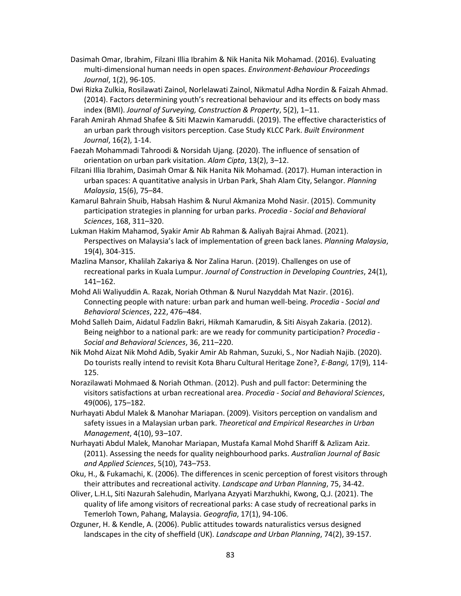- Dasimah Omar, Ibrahim, Filzani Illia Ibrahim & Nik Hanita Nik Mohamad. (2016). Evaluating multi-dimensional human needs in open spaces. *Environment-Behaviour Proceedings Journal*, 1(2), 96-105.
- Dwi Rizka Zulkia, Rosilawati Zainol, Norlelawati Zainol, Nikmatul Adha Nordin & Faizah Ahmad. (2014). Factors determining youth's recreational behaviour and its effects on body mass index (BMI). *Journal of Surveying, Construction & Property*, 5(2), 1–11.
- Farah Amirah Ahmad Shafee & Siti Mazwin Kamaruddi. (2019). The effective characteristics of an urban park through visitors perception. Case Study KLCC Park. *Built Environment Journal*, 16(2), 1-14.
- Faezah Mohammadi Tahroodi & Norsidah Ujang. (2020). The influence of sensation of orientation on urban park visitation. *Alam Cipta*, 13(2), 3–12.
- Filzani Illia Ibrahim, Dasimah Omar & Nik Hanita Nik Mohamad. (2017). Human interaction in urban spaces: A quantitative analysis in Urban Park, Shah Alam City, Selangor. *Planning Malaysia*, 15(6), 75–84.
- Kamarul Bahrain Shuib, Habsah Hashim & Nurul Akmaniza Mohd Nasir. (2015). Community participation strategies in planning for urban parks. *Procedia - Social and Behavioral Sciences*, 168, 311–320.
- Lukman Hakim Mahamod, Syakir Amir Ab Rahman & Aaliyah Bajrai Ahmad. (2021). Perspectives on Malaysia's lack of implementation of green back lanes. *Planning Malaysia*, 19(4), 304-315.
- Mazlina Mansor, Khalilah Zakariya & Nor Zalina Harun. (2019). Challenges on use of recreational parks in Kuala Lumpur. *Journal of Construction in Developing Countries*, 24(1), 141–162.
- Mohd Ali Waliyuddin A. Razak, Noriah Othman & Nurul Nazyddah Mat Nazir. (2016). Connecting people with nature: urban park and human well-being. *Procedia - Social and Behavioral Sciences*, 222, 476–484.
- Mohd Salleh Daim, Aidatul Fadzlin Bakri, Hikmah Kamarudin, & Siti Aisyah Zakaria. (2012). Being neighbor to a national park: are we ready for community participation? *Procedia - Social and Behavioral Sciences*, 36, 211–220.
- Nik Mohd Aizat Nik Mohd Adib, Syakir Amir Ab Rahman, Suzuki, S., Nor Nadiah Najib. (2020). Do tourists really intend to revisit Kota Bharu Cultural Heritage Zone?, *E-Bangi,* 17(9), 114- 125.
- Norazilawati Mohmaed & Noriah Othman. (2012). Push and pull factor: Determining the visitors satisfactions at urban recreational area. *Procedia - Social and Behavioral Sciences*, 49(006), 175–182.
- Nurhayati Abdul Malek & Manohar Mariapan. (2009). Visitors perception on vandalism and safety issues in a Malaysian urban park. *Theoretical and Empirical Researches in Urban Management*, 4(10), 93–107.
- Nurhayati Abdul Malek, Manohar Mariapan, Mustafa Kamal Mohd Shariff & Azlizam Aziz. (2011). Assessing the needs for quality neighbourhood parks. *Australian Journal of Basic and Applied Sciences*, 5(10), 743–753.
- Oku, H., & Fukamachi, K. (2006). The differences in scenic perception of forest visitors through their attributes and recreational activity. *Landscape and Urban Planning*, 75, 34-42.
- Oliver, L.H.L, Siti Nazurah Salehudin, Marlyana Azyyati Marzhukhi, Kwong, Q.J. (2021). The quality of life among visitors of recreational parks: A case study of recreational parks in Temerloh Town, Pahang, Malaysia. *Geografia*, 17(1), 94-106.
- Ozguner, H. & Kendle, A. (2006). Public attitudes towards naturalistics versus designed landscapes in the city of sheffield (UK). *Landscape and Urban Planning*, 74(2), 39-157.